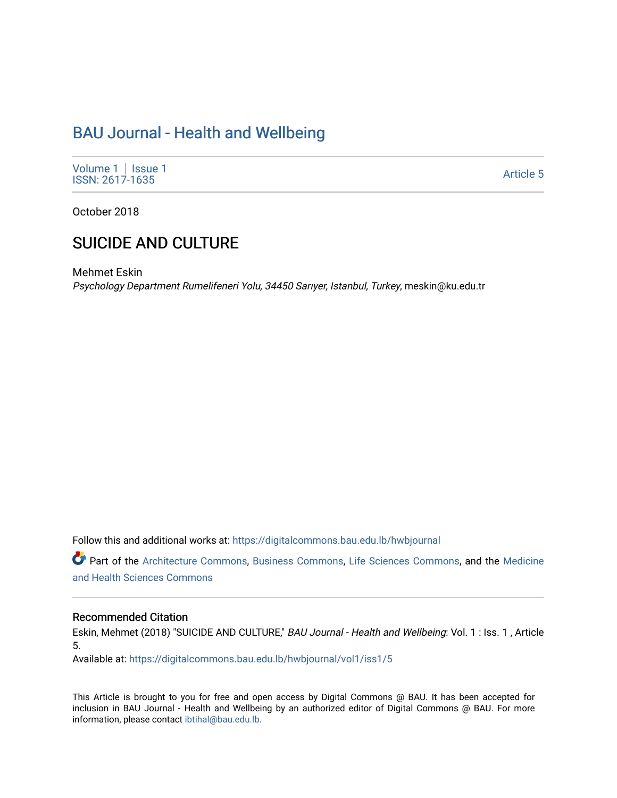# [BAU Journal - Health and Wellbeing](https://digitalcommons.bau.edu.lb/hwbjournal)

[Volume 1](https://digitalcommons.bau.edu.lb/hwbjournal/vol1) | Issue 1 Political Pressure Pressure Pressure Pressure Pressure Pressure Pressure Pressure Pressure Pressure Pressure P<br>ISSN: 2617-1635

October 2018

# SUICIDE AND CULTURE

Mehmet Eskin Psychology Department Rumelifeneri Yolu, 34450 Sarıyer, Istanbul, Turkey, meskin@ku.edu.tr

Follow this and additional works at: [https://digitalcommons.bau.edu.lb/hwbjournal](https://digitalcommons.bau.edu.lb/hwbjournal?utm_source=digitalcommons.bau.edu.lb%2Fhwbjournal%2Fvol1%2Fiss1%2F5&utm_medium=PDF&utm_campaign=PDFCoverPages)

Part of the [Architecture Commons](http://network.bepress.com/hgg/discipline/773?utm_source=digitalcommons.bau.edu.lb%2Fhwbjournal%2Fvol1%2Fiss1%2F5&utm_medium=PDF&utm_campaign=PDFCoverPages), [Business Commons,](http://network.bepress.com/hgg/discipline/622?utm_source=digitalcommons.bau.edu.lb%2Fhwbjournal%2Fvol1%2Fiss1%2F5&utm_medium=PDF&utm_campaign=PDFCoverPages) [Life Sciences Commons](http://network.bepress.com/hgg/discipline/1016?utm_source=digitalcommons.bau.edu.lb%2Fhwbjournal%2Fvol1%2Fiss1%2F5&utm_medium=PDF&utm_campaign=PDFCoverPages), and the [Medicine](http://network.bepress.com/hgg/discipline/648?utm_source=digitalcommons.bau.edu.lb%2Fhwbjournal%2Fvol1%2Fiss1%2F5&utm_medium=PDF&utm_campaign=PDFCoverPages)  [and Health Sciences Commons](http://network.bepress.com/hgg/discipline/648?utm_source=digitalcommons.bau.edu.lb%2Fhwbjournal%2Fvol1%2Fiss1%2F5&utm_medium=PDF&utm_campaign=PDFCoverPages)

#### Recommended Citation

Eskin, Mehmet (2018) "SUICIDE AND CULTURE," BAU Journal - Health and Wellbeing: Vol. 1 : Iss. 1, Article 5.

Available at: [https://digitalcommons.bau.edu.lb/hwbjournal/vol1/iss1/5](https://digitalcommons.bau.edu.lb/hwbjournal/vol1/iss1/5?utm_source=digitalcommons.bau.edu.lb%2Fhwbjournal%2Fvol1%2Fiss1%2F5&utm_medium=PDF&utm_campaign=PDFCoverPages) 

This Article is brought to you for free and open access by Digital Commons @ BAU. It has been accepted for inclusion in BAU Journal - Health and Wellbeing by an authorized editor of Digital Commons @ BAU. For more information, please contact [ibtihal@bau.edu.lb.](mailto:ibtihal@bau.edu.lb)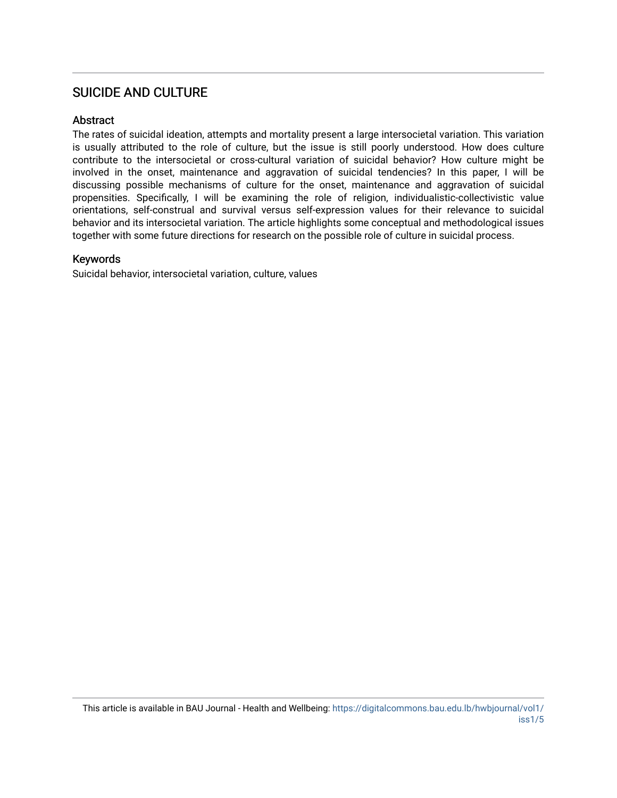# SUICIDE AND CULTURE

### Abstract

The rates of suicidal ideation, attempts and mortality present a large intersocietal variation. This variation is usually attributed to the role of culture, but the issue is still poorly understood. How does culture contribute to the intersocietal or cross-cultural variation of suicidal behavior? How culture might be involved in the onset, maintenance and aggravation of suicidal tendencies? In this paper, I will be discussing possible mechanisms of culture for the onset, maintenance and aggravation of suicidal propensities. Specifically, I will be examining the role of religion, individualistic-collectivistic value orientations, self-construal and survival versus self-expression values for their relevance to suicidal behavior and its intersocietal variation. The article highlights some conceptual and methodological issues together with some future directions for research on the possible role of culture in suicidal process.

#### Keywords

Suicidal behavior, intersocietal variation, culture, values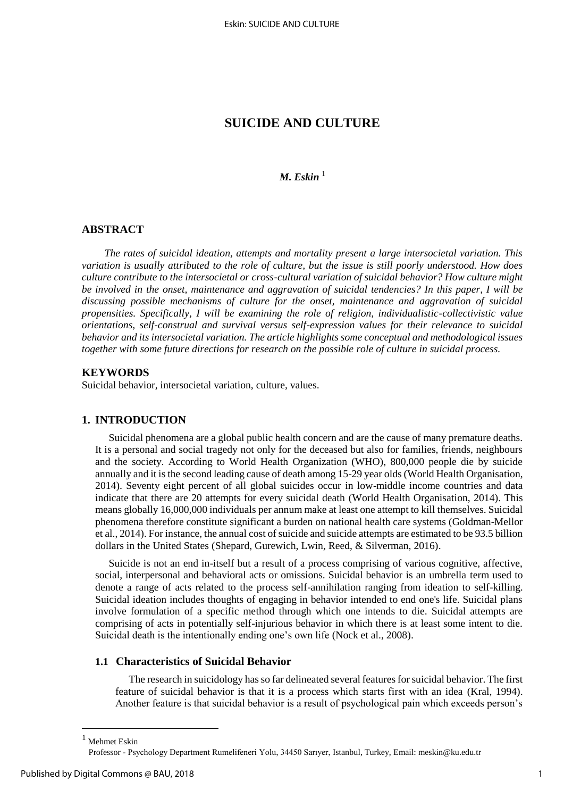# **SUICIDE AND CULTURE**

## *M. Eskin*<sup>1</sup>

#### **ABSTRACT**

*The rates of suicidal ideation, attempts and mortality present a large intersocietal variation. This variation is usually attributed to the role of culture, but the issue is still poorly understood. How does culture contribute to the intersocietal or cross-cultural variation of suicidal behavior? How culture might be involved in the onset, maintenance and aggravation of suicidal tendencies? In this paper, I will be discussing possible mechanisms of culture for the onset, maintenance and aggravation of suicidal propensities. Specifically, I will be examining the role of religion, individualistic-collectivistic value orientations, self-construal and survival versus self-expression values for their relevance to suicidal behavior and its intersocietal variation. The article highlights some conceptual and methodological issues together with some future directions for research on the possible role of culture in suicidal process.* 

#### **KEYWORDS**

Suicidal behavior, intersocietal variation, culture, values.

#### **1. INTRODUCTION**

Suicidal phenomena are a global public health concern and are the cause of many premature deaths. It is a personal and social tragedy not only for the deceased but also for families, friends, neighbours and the society. According to World Health Organization (WHO), 800,000 people die by suicide annually and it is the second leading cause of death among 15-29 year olds (World Health Organisation, 2014). Seventy eight percent of all global suicides occur in low-middle income countries and data indicate that there are 20 attempts for every suicidal death (World Health Organisation, 2014). This means globally 16,000,000 individuals per annum make at least one attempt to kill themselves. Suicidal phenomena therefore constitute significant a burden on national health care systems (Goldman-Mellor et al., 2014). For instance, the annual cost of suicide and suicide attempts are estimated to be 93.5 billion dollars in the United States (Shepard, Gurewich, Lwin, Reed, & Silverman, 2016).

Suicide is not an end in-itself but a result of a process comprising of various cognitive, affective, social, interpersonal and behavioral acts or omissions. Suicidal behavior is an umbrella term used to denote a range of acts related to the process self-annihilation ranging from ideation to self-killing. Suicidal ideation includes thoughts of engaging in behavior intended to end one's life. Suicidal plans involve formulation of a specific method through which one intends to die. Suicidal attempts are comprising of acts in potentially self-injurious behavior in which there is at least some intent to die. Suicidal death is the intentionally ending one's own life (Nock et al., 2008).

### **1.1 Characteristics of Suicidal Behavior**

The research in suicidology has so far delineated several features for suicidal behavior. The first feature of suicidal behavior is that it is a process which starts first with an idea (Kral, 1994). Another feature is that suicidal behavior is a result of psychological pain which exceeds person's

 $\overline{a}$ 

 $1$  Mehmet Eskin

Professor - Psychology Department Rumelifeneri Yolu, 34450 Sarıyer, Istanbul, Turkey, Email[: meskin@ku.edu.tr](mailto:meskin@ku.edu.tr)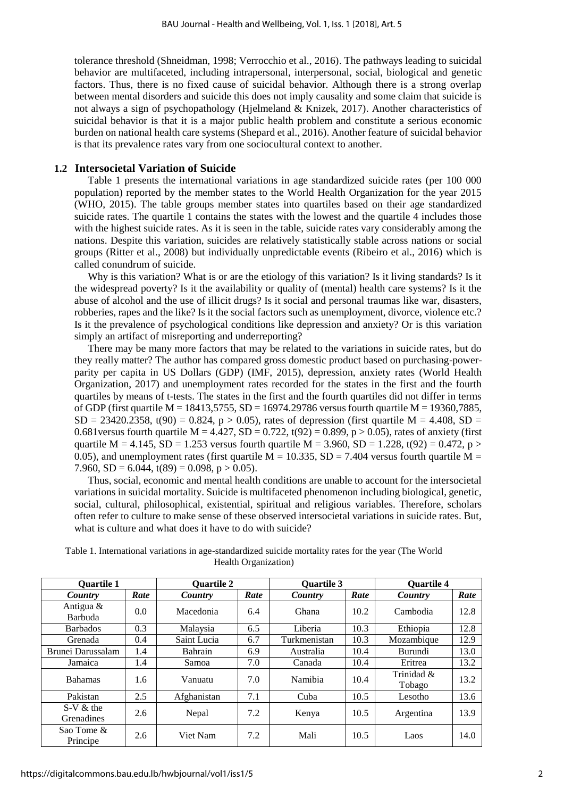tolerance threshold (Shneidman, 1998; Verrocchio et al., 2016). The pathways leading to suicidal behavior are multifaceted, including intrapersonal, interpersonal, social, biological and genetic factors. Thus, there is no fixed cause of suicidal behavior. Although there is a strong overlap between mental disorders and suicide this does not imply causality and some claim that suicide is not always a sign of psychopathology (Hjelmeland & Knizek, 2017). Another characteristics of suicidal behavior is that it is a major public health problem and constitute a serious economic burden on national health care systems (Shepard et al., 2016). Another feature of suicidal behavior is that its prevalence rates vary from one sociocultural context to another.

#### **1.2 Intersocietal Variation of Suicide**

Table 1 presents the international variations in age standardized suicide rates (per 100 000 population) reported by the member states to the World Health Organization for the year 2015 (WHO, 2015). The table groups member states into quartiles based on their age standardized suicide rates. The quartile 1 contains the states with the lowest and the quartile 4 includes those with the highest suicide rates. As it is seen in the table, suicide rates vary considerably among the nations. Despite this variation, suicides are relatively statistically stable across nations or social groups (Ritter et al., 2008) but individually unpredictable events (Ribeiro et al., 2016) which is called conundrum of suicide.

Why is this variation? What is or are the etiology of this variation? Is it living standards? Is it the widespread poverty? Is it the availability or quality of (mental) health care systems? Is it the abuse of alcohol and the use of illicit drugs? Is it social and personal traumas like war, disasters, robberies, rapes and the like? Is it the social factors such as unemployment, divorce, violence etc.? Is it the prevalence of psychological conditions like depression and anxiety? Or is this variation simply an artifact of misreporting and underreporting?

There may be many more factors that may be related to the variations in suicide rates, but do they really matter? The author has compared gross domestic product based on purchasing-powerparity per capita in US Dollars (GDP) (IMF, 2015), depression, anxiety rates (World Health Organization, 2017) and unemployment rates recorded for the states in the first and the fourth quartiles by means of t-tests. The states in the first and the fourth quartiles did not differ in terms of GDP (first quartile  $M = 18413,5755$ ,  $SD = 16974.29786$  versus fourth quartile  $M = 19360,7885$ ,  $SD = 23420.2358$ , t(90) = 0.824, p > 0.05), rates of depression (first quartile M = 4.408, SD = 0.681 versus fourth quartile M =  $4.427$ , SD = 0.722, t(92) = 0.899, p > 0.05), rates of anxiety (first quartile M = 4.145, SD = 1.253 versus fourth quartile M = 3.960, SD = 1.228, t(92) = 0.472, p > 0.05), and unemployment rates (first quartile  $M = 10.335$ ,  $SD = 7.404$  versus fourth quartile  $M =$ 7.960,  $SD = 6.044$ ,  $t(89) = 0.098$ ,  $p > 0.05$ ).

Thus, social, economic and mental health conditions are unable to account for the intersocietal variations in suicidal mortality. Suicide is multifaceted phenomenon including biological, genetic, social, cultural, philosophical, existential, spiritual and religious variables. Therefore, scholars often refer to culture to make sense of these observed intersocietal variations in suicide rates. But, what is culture and what does it have to do with suicide?

| <b>Quartile 1</b>         |               | <b>Quartile 2</b> |      | <b>Quartile 3</b> |      | <b>Quartile 4</b>    |      |
|---------------------------|---------------|-------------------|------|-------------------|------|----------------------|------|
| Country                   | Rate          | Country           | Rate | Country           | Rate | Country              | Rate |
| Antigua &<br>Barbuda      | 0.0           | Macedonia         | 6.4  | Ghana             | 10.2 | Cambodia             | 12.8 |
| <b>Barbados</b>           | 0.3           | Malaysia          | 6.5  | Liberia           | 10.3 | Ethiopia             | 12.8 |
| Grenada                   | 0.4           | Saint Lucia       | 6.7  | Turkmenistan      | 10.3 | Mozambique           | 12.9 |
| Brunei Darussalam         | 1.4           | Bahrain           | 6.9  | Australia         | 10.4 | <b>Burundi</b>       | 13.0 |
| Jamaica                   | 1.4           | Samoa             | 7.0  | Canada            | 10.4 | Eritrea              | 13.2 |
| <b>Bahamas</b>            | $1.6^{\circ}$ | Vanuatu           | 7.0  | Namibia           | 10.4 | Trinidad &<br>Tobago | 13.2 |
| Pakistan                  | 2.5           | Afghanistan       | 7.1  | Cuba              | 10.5 | Lesotho              | 13.6 |
| $S-V &$ the<br>Grenadines | 2.6           | Nepal             | 7.2  | Kenya             | 10.5 | Argentina            | 13.9 |
| Sao Tome &<br>Principe    | 2.6           | Viet Nam          | 7.2  | Mali              | 10.5 | Laos                 | 14.0 |

Table 1. International variations in age-standardized suicide mortality rates for the year (The World Health Organization)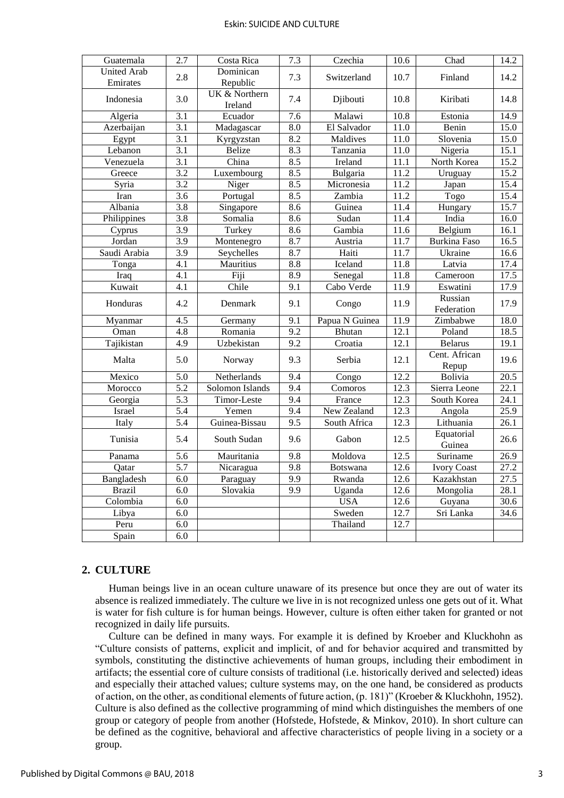#### Eskin: SUICIDE AND CULTURE

| Guatemala                      | 2.7              | Costa Rica               | 7.3              | Czechia              | 10.6              | Chad                   | 14.2              |
|--------------------------------|------------------|--------------------------|------------------|----------------------|-------------------|------------------------|-------------------|
| <b>United Arab</b><br>Emirates | 2.8              | Dominican<br>Republic    | 7.3              | Switzerland          | 10.7              | Finland                | 14.2              |
| Indonesia                      | 3.0              | UK & Northern<br>Ireland | 7.4              | Djibouti             | 10.8              | Kiribati               | 14.8              |
| Algeria                        | $\overline{3.1}$ | Ecuador                  | $\overline{7.6}$ | Malawi               | 10.8              | Estonia                | 14.9              |
| Azerbaijan                     | 3.1              | Madagascar               | $\overline{8.0}$ | El Salvador          | 11.0              | Benin                  | 15.0              |
| $\overline{Egypt}$             | $\overline{3.1}$ | Kyrgyzstan               | 8.2              | Maldives             | 11.0              | Slovenia               | 15.0              |
| Lebanon                        | $\overline{3.1}$ | <b>Belize</b>            | 8.3              | Tanzania             | 11.0              | Nigeria                | 15.1              |
| Venezuela                      | 3.1              | China                    | 8.5              | Ireland              | $\overline{11.1}$ | North Korea            | 15.2              |
| Greece                         | 3.2              | Luxembourg               | 8.5              | Bulgaria             | 11.2              | Uruguay                | 15.2              |
| Syria                          | 3.2              | Niger                    | 8.5              | Micronesia           | 11.2              | Japan                  | 15.4              |
| Iran                           | $\overline{3.6}$ | Portugal                 | $\overline{8.5}$ | Zambia               | 11.2              | Togo                   | 15.4              |
| Albania                        | $\overline{3.8}$ | Singapore                | 8.6              | Guinea               | 11.4              | Hungary                | 15.7              |
| Philippines                    | 3.8              | Somalia                  | 8.6              | Sudan                | 11.4              | India                  | 16.0              |
| Cyprus                         | 3.9              | Turkey                   | 8.6              | Gambia               | 11.6              | Belgium                | 16.1              |
| Jordan                         | 3.9              | Montenegro               | 8.7              | Austria              | 11.7              | <b>Burkina Faso</b>    | 16.5              |
| Saudi Arabia                   | 3.9              | Seychelles               | 8.7              | Haiti                | 11.7              | Ukraine                | 16.6              |
| Tonga                          | $\overline{4.1}$ | Mauritius                | $\overline{8.8}$ | Iceland              | 11.8              | Latvia                 | 17.4              |
| Iraq                           | $\overline{4.1}$ | Fiji                     | $\overline{8.9}$ | Senegal              | 11.8              | Cameroon               | 17.5              |
| Kuwait                         | 4.1              | Chile                    | $\overline{9.1}$ | Cabo Verde           | 11.9              | Eswatini               | 17.9              |
| Honduras                       | 4.2              | Denmark                  | 9.1              | Congo                | 11.9              | Russian<br>Federation  | 17.9              |
| Myanmar                        | $\overline{4.5}$ | Germany                  | $\overline{9.1}$ | Papua N Guinea       | 11.9              | Zimbabwe               | 18.0              |
| Oman                           | 4.8              | Romania                  | 9.2              | Bhutan               | 12.1              | Poland                 | 18.5              |
| Tajikistan                     | 4.9              | Uzbekistan               | $\overline{9.2}$ | Croatia              | 12.1              | <b>Belarus</b>         | 19.1              |
| Malta                          | 5.0              | Norway                   | 9.3              | Serbia               | 12.1              | Cent. African<br>Repup | 19.6              |
| Mexico                         | 5.0              | Netherlands              | 9.4              | Congo                | 12.2              | <b>Bolivia</b>         | 20.5              |
| Morocco                        | $\overline{5.2}$ | Solomon Islands          | 9.4              | $\overline{Comoros}$ | 12.3              | Sierra Leone           | 22.1              |
| Georgia                        | 5.3              | Timor-Leste              | 9.4              | France               | 12.3              | South Korea            | 24.1              |
| Israel                         | $\overline{5.4}$ | Yemen                    | 9.4              | New Zealand          | 12.3              | Angola                 | 25.9              |
| Italy                          | $\overline{5.4}$ | Guinea-Bissau            | 9.5              | South Africa         | 12.3              | Lithuania              | $\overline{26.1}$ |
| Tunisia                        | 5.4              | South Sudan              | 9.6              | Gabon                | 12.5              | Equatorial<br>Guinea   | 26.6              |
| Panama                         | 5.6              | Mauritania               | 9.8              | Moldova              | 12.5              | Suriname               | 26.9              |
| Qatar                          | $\overline{5.7}$ | Nicaragua                | $\overline{9.8}$ | <b>Botswana</b>      | 12.6              | <b>Ivory Coast</b>     | 27.2              |
| Bangladesh                     | 6.0              | Paraguay                 | 9.9              | Rwanda               | 12.6              | Kazakhstan             | 27.5              |
| <b>Brazil</b>                  | 6.0              | Slovakia                 | $\overline{9.9}$ | Uganda               | 12.6              | Mongolia               | 28.1              |
| Colombia                       | 6.0              |                          |                  | <b>USA</b>           | 12.6              | Guyana                 | 30.6              |
| Libya                          | $\overline{6.0}$ |                          |                  | Sweden               | 12.7              | Sri Lanka              | 34.6              |
| Peru                           | 6.0              |                          |                  | Thailand             | 12.7              |                        |                   |
| Spain                          | 6.0              |                          |                  |                      |                   |                        |                   |

#### **2. CULTURE**

Human beings live in an ocean culture unaware of its presence but once they are out of water its absence is realized immediately. The culture we live in is not recognized unless one gets out of it. What is water for fish culture is for human beings. However, culture is often either taken for granted or not recognized in daily life pursuits.

Culture can be defined in many ways. For example it is defined by Kroeber and Kluckhohn as "Culture consists of patterns, explicit and implicit, of and for behavior acquired and transmitted by symbols, constituting the distinctive achievements of human groups, including their embodiment in artifacts; the essential core of culture consists of traditional (i.e. historically derived and selected) ideas and especially their attached values; culture systems may, on the one hand, be considered as products of action, on the other, as conditional elements of future action, (p. 181)" (Kroeber & Kluckhohn, 1952). Culture is also defined as the collective programming of mind which distinguishes the members of one group or category of people from another (Hofstede, Hofstede, & Minkov, 2010). In short culture can be defined as the cognitive, behavioral and affective characteristics of people living in a society or a group.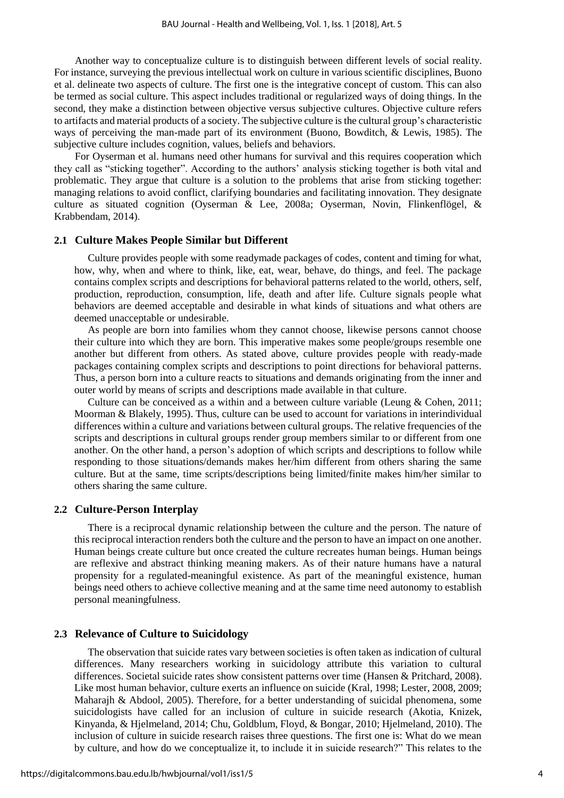Another way to conceptualize culture is to distinguish between different levels of social reality. For instance, surveying the previous intellectual work on culture in various scientific disciplines, Buono et al. delineate two aspects of culture. The first one is the integrative concept of custom. This can also be termed as social culture. This aspect includes traditional or regularized ways of doing things. In the second, they make a distinction between objective versus subjective cultures. Objective culture refers to artifacts and material products of a society. The subjective culture is the cultural group's characteristic ways of perceiving the man-made part of its environment (Buono, Bowditch, & Lewis, 1985). The subjective culture includes cognition, values, beliefs and behaviors.

 For Oyserman et al. humans need other humans for survival and this requires cooperation which they call as "sticking together". According to the authors' analysis sticking together is both vital and problematic. They argue that culture is a solution to the problems that arise from sticking together: managing relations to avoid conflict, clarifying boundaries and facilitating innovation. They designate culture as situated cognition (Oyserman & Lee, 2008a; Oyserman, Novin, Flinkenflögel, & Krabbendam, 2014).

#### **2.1 Culture Makes People Similar but Different**

Culture provides people with some readymade packages of codes, content and timing for what, how, why, when and where to think, like, eat, wear, behave, do things, and feel. The package contains complex scripts and descriptions for behavioral patterns related to the world, others, self, production, reproduction, consumption, life, death and after life. Culture signals people what behaviors are deemed acceptable and desirable in what kinds of situations and what others are deemed unacceptable or undesirable.

As people are born into families whom they cannot choose, likewise persons cannot choose their culture into which they are born. This imperative makes some people/groups resemble one another but different from others. As stated above, culture provides people with ready-made packages containing complex scripts and descriptions to point directions for behavioral patterns. Thus, a person born into a culture reacts to situations and demands originating from the inner and outer world by means of scripts and descriptions made available in that culture.

Culture can be conceived as a within and a between culture variable (Leung & Cohen, 2011; Moorman & Blakely, 1995). Thus, culture can be used to account for variations in interindividual differences within a culture and variations between cultural groups. The relative frequencies of the scripts and descriptions in cultural groups render group members similar to or different from one another. On the other hand, a person's adoption of which scripts and descriptions to follow while responding to those situations/demands makes her/him different from others sharing the same culture. But at the same, time scripts/descriptions being limited/finite makes him/her similar to others sharing the same culture.

## **2.2 Culture-Person Interplay**

There is a reciprocal dynamic relationship between the culture and the person. The nature of this reciprocal interaction renders both the culture and the person to have an impact on one another. Human beings create culture but once created the culture recreates human beings. Human beings are reflexive and abstract thinking meaning makers. As of their nature humans have a natural propensity for a regulated-meaningful existence. As part of the meaningful existence, human beings need others to achieve collective meaning and at the same time need autonomy to establish personal meaningfulness.

#### **2.3 Relevance of Culture to Suicidology**

The observation that suicide rates vary between societies is often taken as indication of cultural differences. Many researchers working in suicidology attribute this variation to cultural differences. Societal suicide rates show consistent patterns over time (Hansen & Pritchard, 2008). Like most human behavior, culture exerts an influence on suicide (Kral, 1998; Lester, 2008, 2009; Maharajh & Abdool, 2005). Therefore, for a better understanding of suicidal phenomena, some suicidologists have called for an inclusion of culture in suicide research (Akotia, Knizek, Kinyanda, & Hjelmeland, 2014; Chu, Goldblum, Floyd, & Bongar, 2010; Hjelmeland, 2010). The inclusion of culture in suicide research raises three questions. The first one is: What do we mean by culture, and how do we conceptualize it, to include it in suicide research?" This relates to the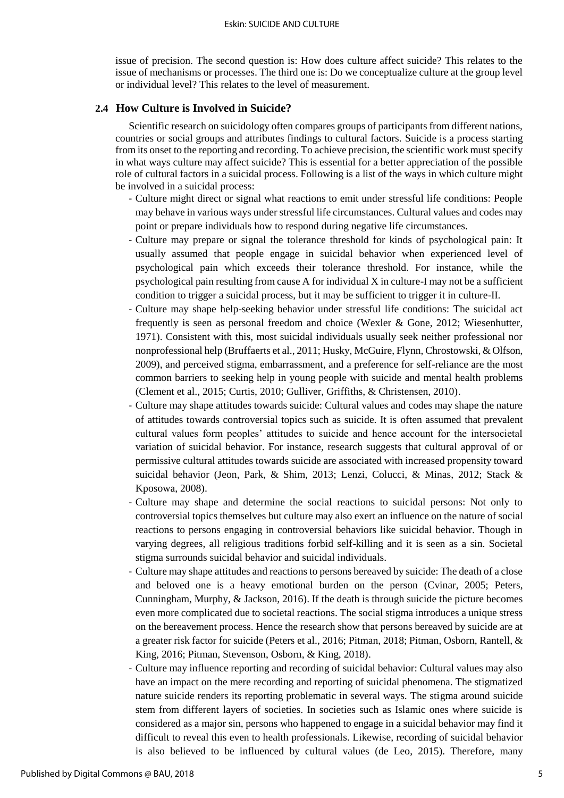issue of precision. The second question is: How does culture affect suicide? This relates to the issue of mechanisms or processes. The third one is: Do we conceptualize culture at the group level or individual level? This relates to the level of measurement.

#### **2.4 How Culture is Involved in Suicide?**

Scientific research on suicidology often compares groups of participants from different nations, countries or social groups and attributes findings to cultural factors. Suicide is a process starting from its onset to the reporting and recording. To achieve precision, the scientific work must specify in what ways culture may affect suicide? This is essential for a better appreciation of the possible role of cultural factors in a suicidal process. Following is a list of the ways in which culture might be involved in a suicidal process:

- Culture might direct or signal what reactions to emit under stressful life conditions: People may behave in various ways under stressful life circumstances. Cultural values and codes may point or prepare individuals how to respond during negative life circumstances.
- Culture may prepare or signal the tolerance threshold for kinds of psychological pain: It usually assumed that people engage in suicidal behavior when experienced level of psychological pain which exceeds their tolerance threshold. For instance, while the psychological pain resulting from cause A for individual X in culture-I may not be a sufficient condition to trigger a suicidal process, but it may be sufficient to trigger it in culture-II.
- Culture may shape help-seeking behavior under stressful life conditions: The suicidal act frequently is seen as personal freedom and choice (Wexler & Gone, 2012; Wiesenhutter, 1971). Consistent with this, most suicidal individuals usually seek neither professional nor nonprofessional help (Bruffaerts et al., 2011; Husky, McGuire, Flynn, Chrostowski, & Olfson, 2009), and perceived stigma, embarrassment, and a preference for self-reliance are the most common barriers to seeking help in young people with suicide and mental health problems (Clement et al., 2015; Curtis, 2010; Gulliver, Griffiths, & Christensen, 2010).
- Culture may shape attitudes towards suicide: Cultural values and codes may shape the nature of attitudes towards controversial topics such as suicide. It is often assumed that prevalent cultural values form peoples' attitudes to suicide and hence account for the intersocietal variation of suicidal behavior. For instance, research suggests that cultural approval of or permissive cultural attitudes towards suicide are associated with increased propensity toward suicidal behavior (Jeon, Park, & Shim, 2013; Lenzi, Colucci, & Minas, 2012; Stack & Kposowa, 2008).
- Culture may shape and determine the social reactions to suicidal persons: Not only to controversial topics themselves but culture may also exert an influence on the nature of social reactions to persons engaging in controversial behaviors like suicidal behavior. Though in varying degrees, all religious traditions forbid self-killing and it is seen as a sin. Societal stigma surrounds suicidal behavior and suicidal individuals.
- Culture may shape attitudes and reactions to persons bereaved by suicide: The death of a close and beloved one is a heavy emotional burden on the person (Cvinar, 2005; Peters, Cunningham, Murphy, & Jackson, 2016). If the death is through suicide the picture becomes even more complicated due to societal reactions. The social stigma introduces a unique stress on the bereavement process. Hence the research show that persons bereaved by suicide are at a greater risk factor for suicide (Peters et al., 2016; Pitman, 2018; Pitman, Osborn, Rantell, & King, 2016; Pitman, Stevenson, Osborn, & King, 2018).
- Culture may influence reporting and recording of suicidal behavior: Cultural values may also have an impact on the mere recording and reporting of suicidal phenomena. The stigmatized nature suicide renders its reporting problematic in several ways. The stigma around suicide stem from different layers of societies. In societies such as Islamic ones where suicide is considered as a major sin, persons who happened to engage in a suicidal behavior may find it difficult to reveal this even to health professionals. Likewise, recording of suicidal behavior is also believed to be influenced by cultural values (de Leo, 2015). Therefore, many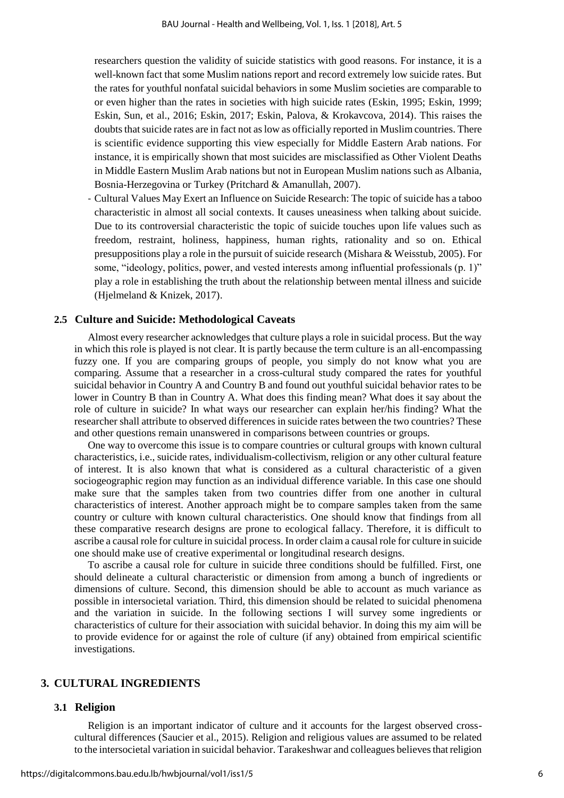researchers question the validity of suicide statistics with good reasons. For instance, it is a well-known fact that some Muslim nations report and record extremely low suicide rates. But the rates for youthful nonfatal suicidal behaviors in some Muslim societies are comparable to or even higher than the rates in societies with high suicide rates (Eskin, 1995; Eskin, 1999; Eskin, Sun, et al., 2016; Eskin, 2017; Eskin, Palova, & Krokavcova, 2014). This raises the doubts that suicide rates are in fact not as low as officially reported in Muslim countries. There is scientific evidence supporting this view especially for Middle Eastern Arab nations. For instance, it is empirically shown that most suicides are misclassified as Other Violent Deaths in Middle Eastern Muslim Arab nations but not in European Muslim nations such as Albania, Bosnia-Herzegovina or Turkey (Pritchard & Amanullah, 2007).

- Cultural Values May Exert an Influence on Suicide Research: The topic of suicide has a taboo characteristic in almost all social contexts. It causes uneasiness when talking about suicide. Due to its controversial characteristic the topic of suicide touches upon life values such as freedom, restraint, holiness, happiness, human rights, rationality and so on. Ethical presuppositions play a role in the pursuit of suicide research (Mishara & Weisstub, 2005). For some, "ideology, politics, power, and vested interests among influential professionals (p. 1)" play a role in establishing the truth about the relationship between mental illness and suicide (Hjelmeland & Knizek, 2017).

#### **2.5 Culture and Suicide: Methodological Caveats**

Almost every researcher acknowledges that culture plays a role in suicidal process. But the way in which this role is played is not clear. It is partly because the term culture is an all-encompassing fuzzy one. If you are comparing groups of people, you simply do not know what you are comparing. Assume that a researcher in a cross-cultural study compared the rates for youthful suicidal behavior in Country A and Country B and found out youthful suicidal behavior rates to be lower in Country B than in Country A. What does this finding mean? What does it say about the role of culture in suicide? In what ways our researcher can explain her/his finding? What the researcher shall attribute to observed differences in suicide rates between the two countries? These and other questions remain unanswered in comparisons between countries or groups.

One way to overcome this issue is to compare countries or cultural groups with known cultural characteristics, i.e., suicide rates, individualism-collectivism, religion or any other cultural feature of interest. It is also known that what is considered as a cultural characteristic of a given sociogeographic region may function as an individual difference variable. In this case one should make sure that the samples taken from two countries differ from one another in cultural characteristics of interest. Another approach might be to compare samples taken from the same country or culture with known cultural characteristics. One should know that findings from all these comparative research designs are prone to ecological fallacy. Therefore, it is difficult to ascribe a causal role for culture in suicidal process. In order claim a causal role for culture in suicide one should make use of creative experimental or longitudinal research designs.

To ascribe a causal role for culture in suicide three conditions should be fulfilled. First, one should delineate a cultural characteristic or dimension from among a bunch of ingredients or dimensions of culture. Second, this dimension should be able to account as much variance as possible in intersocietal variation. Third, this dimension should be related to suicidal phenomena and the variation in suicide. In the following sections I will survey some ingredients or characteristics of culture for their association with suicidal behavior. In doing this my aim will be to provide evidence for or against the role of culture (if any) obtained from empirical scientific investigations.

## **3. CULTURAL INGREDIENTS**

#### **3.1 Religion**

Religion is an important indicator of culture and it accounts for the largest observed crosscultural differences (Saucier et al., 2015). Religion and religious values are assumed to be related to the intersocietal variation in suicidal behavior. Tarakeshwar and colleagues believes that religion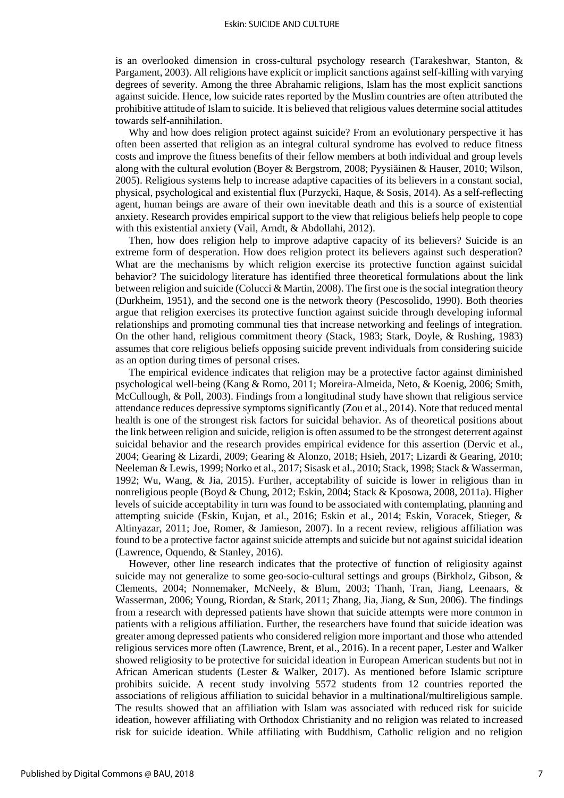is an overlooked dimension in cross-cultural psychology research (Tarakeshwar, Stanton, & Pargament, 2003). All religions have explicit or implicit sanctions against self-killing with varying degrees of severity. Among the three Abrahamic religions, Islam has the most explicit sanctions against suicide. Hence, low suicide rates reported by the Muslim countries are often attributed the prohibitive attitude of Islam to suicide. It is believed that religious values determine social attitudes towards self-annihilation.

Why and how does religion protect against suicide? From an evolutionary perspective it has often been asserted that religion as an integral cultural syndrome has evolved to reduce fitness costs and improve the fitness benefits of their fellow members at both individual and group levels along with the cultural evolution (Boyer & Bergstrom, 2008; Pyysiäinen & Hauser, 2010; Wilson, 2005). Religious systems help to increase adaptive capacities of its believers in a constant social, physical, psychological and existential flux (Purzycki, Haque, & Sosis, 2014). As a self-reflecting agent, human beings are aware of their own inevitable death and this is a source of existential anxiety. Research provides empirical support to the view that religious beliefs help people to cope with this existential anxiety (Vail, Arndt, & Abdollahi, 2012).

Then, how does religion help to improve adaptive capacity of its believers? Suicide is an extreme form of desperation. How does religion protect its believers against such desperation? What are the mechanisms by which religion exercise its protective function against suicidal behavior? The suicidology literature has identified three theoretical formulations about the link between religion and suicide (Colucci & Martin, 2008). The first one is the social integration theory (Durkheim, 1951), and the second one is the network theory (Pescosolido, 1990). Both theories argue that religion exercises its protective function against suicide through developing informal relationships and promoting communal ties that increase networking and feelings of integration. On the other hand, religious commitment theory (Stack, 1983; Stark, Doyle, & Rushing, 1983) assumes that core religious beliefs opposing suicide prevent individuals from considering suicide as an option during times of personal crises.

The empirical evidence indicates that religion may be a protective factor against diminished psychological well-being (Kang & Romo, 2011; Moreira-Almeida, Neto, & Koenig, 2006; Smith, McCullough, & Poll, 2003). Findings from a longitudinal study have shown that religious service attendance reduces depressive symptoms significantly (Zou et al., 2014). Note that reduced mental health is one of the strongest risk factors for suicidal behavior. As of theoretical positions about the link between religion and suicide, religion is often assumed to be the strongest deterrent against suicidal behavior and the research provides empirical evidence for this assertion (Dervic et al., 2004; Gearing & Lizardi, 2009; Gearing & Alonzo, 2018; Hsieh, 2017; Lizardi & Gearing, 2010; Neeleman & Lewis, 1999; Norko et al., 2017; Sisask et al., 2010; Stack, 1998; Stack & Wasserman, 1992; Wu, Wang, & Jia, 2015). Further, acceptability of suicide is lower in religious than in nonreligious people (Boyd & Chung, 2012; Eskin, 2004; Stack & Kposowa, 2008, 2011a). Higher levels of suicide acceptability in turn was found to be associated with contemplating, planning and attempting suicide (Eskin, Kujan, et al., 2016; Eskin et al., 2014; Eskin, Voracek, Stieger, & Altinyazar, 2011; Joe, Romer, & Jamieson, 2007). In a recent review, religious affiliation was found to be a protective factor against suicide attempts and suicide but not against suicidal ideation (Lawrence, Oquendo, & Stanley, 2016).

However, other line research indicates that the protective of function of religiosity against suicide may not generalize to some geo-socio-cultural settings and groups (Birkholz, Gibson, & Clements, 2004; Nonnemaker, McNeely, & Blum, 2003; Thanh, Tran, Jiang, Leenaars, & Wasserman, 2006; Young, Riordan, & Stark, 2011; Zhang, Jia, Jiang, & Sun, 2006). The findings from a research with depressed patients have shown that suicide attempts were more common in patients with a religious affiliation. Further, the researchers have found that suicide ideation was greater among depressed patients who considered religion more important and those who attended religious services more often (Lawrence, Brent, et al., 2016). In a recent paper, Lester and Walker showed religiosity to be protective for suicidal ideation in European American students but not in African American students (Lester & Walker, 2017). As mentioned before Islamic scripture prohibits suicide. A recent study involving 5572 students from 12 countries reported the associations of religious affiliation to suicidal behavior in a multinational/multireligious sample. The results showed that an affiliation with Islam was associated with reduced risk for suicide ideation, however affiliating with Orthodox Christianity and no religion was related to increased risk for suicide ideation. While affiliating with Buddhism, Catholic religion and no religion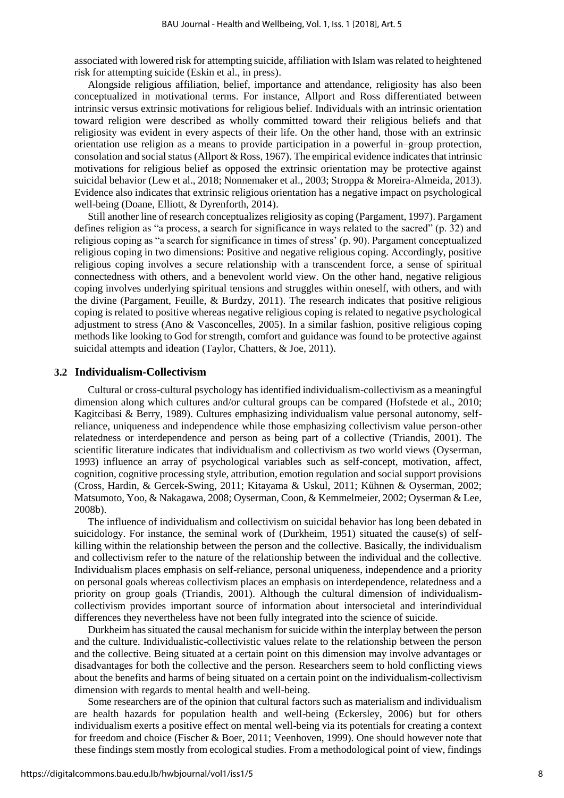associated with lowered risk for attempting suicide, affiliation with Islam was related to heightened risk for attempting suicide (Eskin et al., in press).

Alongside religious affiliation, belief, importance and attendance, religiosity has also been conceptualized in motivational terms. For instance, Allport and Ross differentiated between intrinsic versus extrinsic motivations for religious belief. Individuals with an intrinsic orientation toward religion were described as wholly committed toward their religious beliefs and that religiosity was evident in every aspects of their life. On the other hand, those with an extrinsic orientation use religion as a means to provide participation in a powerful in–group protection, consolation and social status (Allport & Ross, 1967). The empirical evidence indicates that intrinsic motivations for religious belief as opposed the extrinsic orientation may be protective against suicidal behavior (Lew et al., 2018; Nonnemaker et al., 2003; Stroppa & Moreira-Almeida, 2013). Evidence also indicates that extrinsic religious orientation has a negative impact on psychological well-being (Doane, Elliott, & Dyrenforth, 2014).

Still another line of research conceptualizes religiosity as coping (Pargament, 1997). Pargament defines religion as "a process, a search for significance in ways related to the sacred" (p. 32) and religious coping as "a search for significance in times of stress' (p. 90). Pargament conceptualized religious coping in two dimensions: Positive and negative religious coping. Accordingly, positive religious coping involves a secure relationship with a transcendent force, a sense of spiritual connectedness with others, and a benevolent world view. On the other hand, negative religious coping involves underlying spiritual tensions and struggles within oneself, with others, and with the divine (Pargament, Feuille, & Burdzy, 2011). The research indicates that positive religious coping is related to positive whereas negative religious coping is related to negative psychological adjustment to stress (Ano & Vasconcelles, 2005). In a similar fashion, positive religious coping methods like looking to God for strength, comfort and guidance was found to be protective against suicidal attempts and ideation (Taylor, Chatters, & Joe, 2011).

#### **3.2 Individualism-Collectivism**

Cultural or cross-cultural psychology has identified individualism-collectivism as a meaningful dimension along which cultures and/or cultural groups can be compared (Hofstede et al., 2010; Kagitcibasi & Berry, 1989). Cultures emphasizing individualism value personal autonomy, selfreliance, uniqueness and independence while those emphasizing collectivism value person-other relatedness or interdependence and person as being part of a collective (Triandis, 2001). The scientific literature indicates that individualism and collectivism as two world views (Oyserman, 1993) influence an array of psychological variables such as self-concept, motivation, affect, cognition, cognitive processing style, attribution, emotion regulation and social support provisions (Cross, Hardin, & Gercek-Swing, 2011; Kitayama & Uskul, 2011; Kühnen & Oyserman, 2002; Matsumoto, Yoo, & Nakagawa, 2008; Oyserman, Coon, & Kemmelmeier, 2002; Oyserman & Lee, 2008b).

The influence of individualism and collectivism on suicidal behavior has long been debated in suicidology. For instance, the seminal work of (Durkheim, 1951) situated the cause(s) of selfkilling within the relationship between the person and the collective. Basically, the individualism and collectivism refer to the nature of the relationship between the individual and the collective. Individualism places emphasis on self-reliance, personal uniqueness, independence and a priority on personal goals whereas collectivism places an emphasis on interdependence, relatedness and a priority on group goals (Triandis, 2001). Although the cultural dimension of individualismcollectivism provides important source of information about intersocietal and interindividual differences they nevertheless have not been fully integrated into the science of suicide.

Durkheim has situated the causal mechanism for suicide within the interplay between the person and the culture. Individualistic-collectivistic values relate to the relationship between the person and the collective. Being situated at a certain point on this dimension may involve advantages or disadvantages for both the collective and the person. Researchers seem to hold conflicting views about the benefits and harms of being situated on a certain point on the individualism-collectivism dimension with regards to mental health and well-being.

Some researchers are of the opinion that cultural factors such as materialism and individualism are health hazards for population health and well-being (Eckersley, 2006) but for others individualism exerts a positive effect on mental well-being via its potentials for creating a context for freedom and choice (Fischer & Boer, 2011; Veenhoven, 1999). One should however note that these findings stem mostly from ecological studies. From a methodological point of view, findings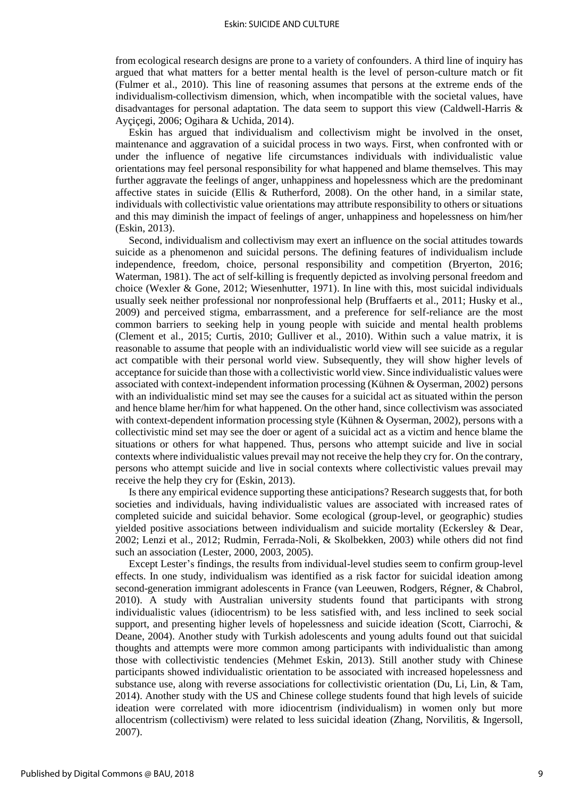from ecological research designs are prone to a variety of confounders. A third line of inquiry has argued that what matters for a better mental health is the level of person-culture match or fit (Fulmer et al., 2010). This line of reasoning assumes that persons at the extreme ends of the individualism-collectivism dimension, which, when incompatible with the societal values, have disadvantages for personal adaptation. The data seem to support this view (Caldwell-Harris & Ayçiçegi, 2006; Ogihara & Uchida, 2014).

Eskin has argued that individualism and collectivism might be involved in the onset, maintenance and aggravation of a suicidal process in two ways. First, when confronted with or under the influence of negative life circumstances individuals with individualistic value orientations may feel personal responsibility for what happened and blame themselves. This may further aggravate the feelings of anger, unhappiness and hopelessness which are the predominant affective states in suicide (Ellis & Rutherford, 2008). On the other hand, in a similar state, individuals with collectivistic value orientations may attribute responsibility to others or situations and this may diminish the impact of feelings of anger, unhappiness and hopelessness on him/her (Eskin, 2013).

Second, individualism and collectivism may exert an influence on the social attitudes towards suicide as a phenomenon and suicidal persons. The defining features of individualism include independence, freedom, choice, personal responsibility and competition (Bryerton, 2016; Waterman, 1981). The act of self-killing is frequently depicted as involving personal freedom and choice (Wexler & Gone, 2012; Wiesenhutter, 1971). In line with this, most suicidal individuals usually seek neither professional nor nonprofessional help (Bruffaerts et al., 2011; Husky et al., 2009) and perceived stigma, embarrassment, and a preference for self-reliance are the most common barriers to seeking help in young people with suicide and mental health problems (Clement et al., 2015; Curtis, 2010; Gulliver et al., 2010). Within such a value matrix, it is reasonable to assume that people with an individualistic world view will see suicide as a regular act compatible with their personal world view. Subsequently, they will show higher levels of acceptance for suicide than those with a collectivistic world view. Since individualistic values were associated with context-independent information processing (Kühnen & Oyserman, 2002) persons with an individualistic mind set may see the causes for a suicidal act as situated within the person and hence blame her/him for what happened. On the other hand, since collectivism was associated with context-dependent information processing style (Kühnen & Oyserman, 2002), persons with a collectivistic mind set may see the doer or agent of a suicidal act as a victim and hence blame the situations or others for what happened. Thus, persons who attempt suicide and live in social contexts where individualistic values prevail may not receive the help they cry for. On the contrary, persons who attempt suicide and live in social contexts where collectivistic values prevail may receive the help they cry for (Eskin, 2013).

Is there any empirical evidence supporting these anticipations? Research suggests that, for both societies and individuals, having individualistic values are associated with increased rates of completed suicide and suicidal behavior. Some ecological (group-level, or geographic) studies yielded positive associations between individualism and suicide mortality (Eckersley & Dear, 2002; Lenzi et al., 2012; Rudmin, Ferrada-Noli, & Skolbekken, 2003) while others did not find such an association (Lester, 2000, 2003, 2005).

Except Lester's findings, the results from individual-level studies seem to confirm group-level effects. In one study, individualism was identified as a risk factor for suicidal ideation among second-generation immigrant adolescents in France (van Leeuwen, Rodgers, Régner, & Chabrol, 2010). A study with Australian university students found that participants with strong individualistic values (idiocentrism) to be less satisfied with, and less inclined to seek social support, and presenting higher levels of hopelessness and suicide ideation (Scott, Ciarrochi, & Deane, 2004). Another study with Turkish adolescents and young adults found out that suicidal thoughts and attempts were more common among participants with individualistic than among those with collectivistic tendencies (Mehmet Eskin, 2013). Still another study with Chinese participants showed individualistic orientation to be associated with increased hopelessness and substance use, along with reverse associations for collectivistic orientation (Du, Li, Lin, & Tam, 2014). Another study with the US and Chinese college students found that high levels of suicide ideation were correlated with more idiocentrism (individualism) in women only but more allocentrism (collectivism) were related to less suicidal ideation (Zhang, Norvilitis, & Ingersoll, 2007).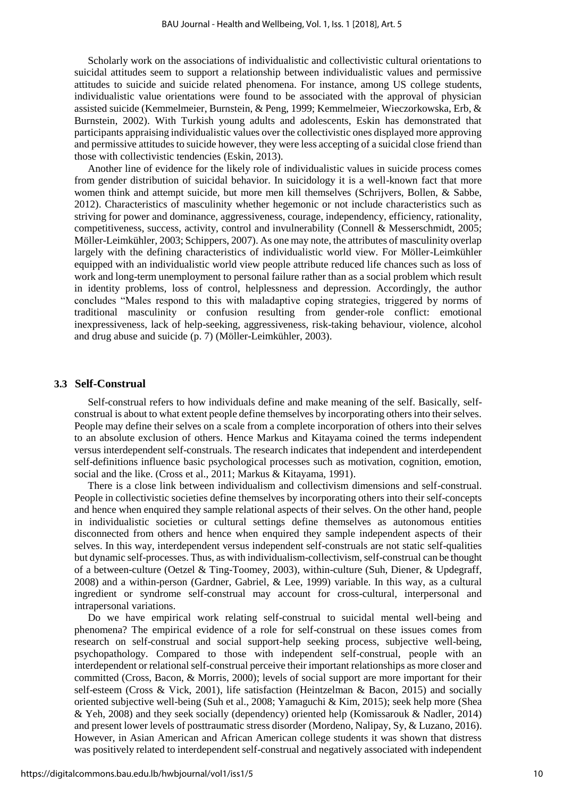Scholarly work on the associations of individualistic and collectivistic cultural orientations to suicidal attitudes seem to support a relationship between individualistic values and permissive attitudes to suicide and suicide related phenomena. For instance, among US college students, individualistic value orientations were found to be associated with the approval of physician assisted suicide (Kemmelmeier, Burnstein, & Peng, 1999; Kemmelmeier, Wieczorkowska, Erb, & Burnstein, 2002). With Turkish young adults and adolescents, Eskin has demonstrated that participants appraising individualistic values over the collectivistic ones displayed more approving and permissive attitudes to suicide however, they were less accepting of a suicidal close friend than those with collectivistic tendencies (Eskin, 2013).

Another line of evidence for the likely role of individualistic values in suicide process comes from gender distribution of suicidal behavior. In suicidology it is a well-known fact that more women think and attempt suicide, but more men kill themselves (Schrijvers, Bollen, & Sabbe, 2012). Characteristics of masculinity whether hegemonic or not include characteristics such as striving for power and dominance, aggressiveness, courage, independency, efficiency, rationality, competitiveness, success, activity, control and invulnerability (Connell & Messerschmidt, 2005; Möller-Leimkühler, 2003; Schippers, 2007). As one may note, the attributes of masculinity overlap largely with the defining characteristics of individualistic world view. For Möller-Leimkühler equipped with an individualistic world view people attribute reduced life chances such as loss of work and long-term unemployment to personal failure rather than as a social problem which result in identity problems, loss of control, helplessness and depression. Accordingly, the author concludes "Males respond to this with maladaptive coping strategies, triggered by norms of traditional masculinity or confusion resulting from gender-role conflict: emotional inexpressiveness, lack of help-seeking, aggressiveness, risk-taking behaviour, violence, alcohol and drug abuse and suicide (p. 7) (Möller-Leimkühler, 2003).

#### **3.3 Self-Construal**

Self-construal refers to how individuals define and make meaning of the self. Basically, selfconstrual is about to what extent people define themselves by incorporating others into their selves. People may define their selves on a scale from a complete incorporation of others into their selves to an absolute exclusion of others. Hence Markus and Kitayama coined the terms independent versus interdependent self-construals. The research indicates that independent and interdependent self-definitions influence basic psychological processes such as motivation, cognition, emotion, social and the like. (Cross et al., 2011; Markus & Kitayama, 1991).

There is a close link between individualism and collectivism dimensions and self-construal. People in collectivistic societies define themselves by incorporating others into their self-concepts and hence when enquired they sample relational aspects of their selves. On the other hand, people in individualistic societies or cultural settings define themselves as autonomous entities disconnected from others and hence when enquired they sample independent aspects of their selves. In this way, interdependent versus independent self-construals are not static self-qualities but dynamic self-processes. Thus, as with individualism-collectivism, self-construal can be thought of a between-culture (Oetzel & Ting-Toomey, 2003), within-culture (Suh, Diener, & Updegraff, 2008) and a within-person (Gardner, Gabriel, & Lee, 1999) variable. In this way, as a cultural ingredient or syndrome self-construal may account for cross-cultural, interpersonal and intrapersonal variations.

Do we have empirical work relating self-construal to suicidal mental well-being and phenomena? The empirical evidence of a role for self-construal on these issues comes from research on self-construal and social support-help seeking process, subjective well-being, psychopathology. Compared to those with independent self-construal, people with an interdependent or relational self-construal perceive their important relationships as more closer and committed (Cross, Bacon, & Morris, 2000); levels of social support are more important for their self-esteem (Cross & Vick, 2001), life satisfaction (Heintzelman & Bacon, 2015) and socially oriented subjective well-being (Suh et al., 2008; Yamaguchi & Kim, 2015); seek help more (Shea & Yeh, 2008) and they seek socially (dependency) oriented help (Komissarouk & Nadler, 2014) and present lower levels of posttraumatic stress disorder (Mordeno, Nalipay, Sy, & Luzano, 2016). However, in Asian American and African American college students it was shown that distress was positively related to interdependent self-construal and negatively associated with independent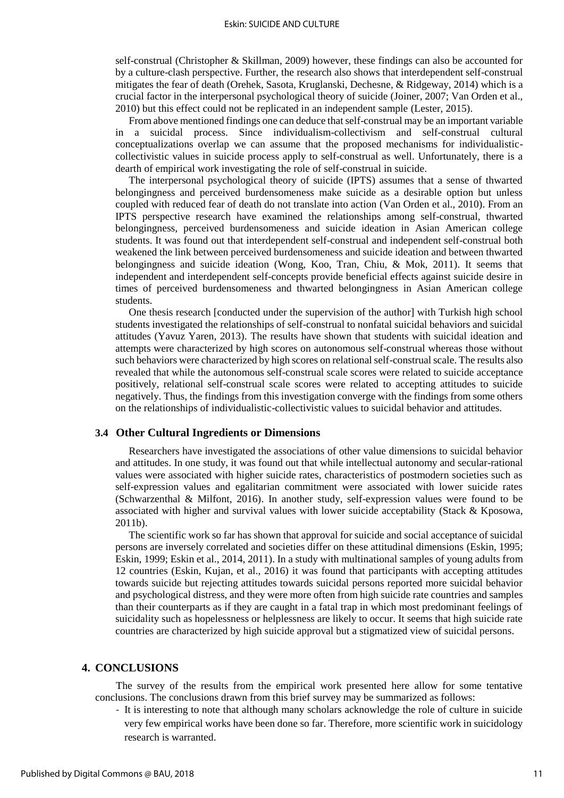self-construal (Christopher & Skillman, 2009) however, these findings can also be accounted for by a culture-clash perspective. Further, the research also shows that interdependent self-construal mitigates the fear of death (Orehek, Sasota, Kruglanski, Dechesne, & Ridgeway, 2014) which is a crucial factor in the interpersonal psychological theory of suicide (Joiner, 2007; Van Orden et al., 2010) but this effect could not be replicated in an independent sample (Lester, 2015).

From above mentioned findings one can deduce that self-construal may be an important variable in a suicidal process. Since individualism-collectivism and self-construal cultural conceptualizations overlap we can assume that the proposed mechanisms for individualisticcollectivistic values in suicide process apply to self-construal as well. Unfortunately, there is a dearth of empirical work investigating the role of self-construal in suicide.

The interpersonal psychological theory of suicide (IPTS) assumes that a sense of thwarted belongingness and perceived burdensomeness make suicide as a desirable option but unless coupled with reduced fear of death do not translate into action (Van Orden et al., 2010). From an IPTS perspective research have examined the relationships among self-construal, thwarted belongingness, perceived burdensomeness and suicide ideation in Asian American college students. It was found out that interdependent self-construal and independent self-construal both weakened the link between perceived burdensomeness and suicide ideation and between thwarted belongingness and suicide ideation (Wong, Koo, Tran, Chiu, & Mok, 2011). It seems that independent and interdependent self-concepts provide beneficial effects against suicide desire in times of perceived burdensomeness and thwarted belongingness in Asian American college students.

One thesis research [conducted under the supervision of the author] with Turkish high school students investigated the relationships of self-construal to nonfatal suicidal behaviors and suicidal attitudes (Yavuz Yaren, 2013). The results have shown that students with suicidal ideation and attempts were characterized by high scores on autonomous self-construal whereas those without such behaviors were characterized by high scores on relational self-construal scale. The results also revealed that while the autonomous self-construal scale scores were related to suicide acceptance positively, relational self-construal scale scores were related to accepting attitudes to suicide negatively. Thus, the findings from this investigation converge with the findings from some others on the relationships of individualistic-collectivistic values to suicidal behavior and attitudes.

#### **3.4 Other Cultural Ingredients or Dimensions**

Researchers have investigated the associations of other value dimensions to suicidal behavior and attitudes. In one study, it was found out that while intellectual autonomy and secular-rational values were associated with higher suicide rates, characteristics of postmodern societies such as self-expression values and egalitarian commitment were associated with lower suicide rates (Schwarzenthal & Milfont, 2016). In another study, self-expression values were found to be associated with higher and survival values with lower suicide acceptability (Stack & Kposowa, 2011b).

The scientific work so far has shown that approval for suicide and social acceptance of suicidal persons are inversely correlated and societies differ on these attitudinal dimensions (Eskin, 1995; Eskin, 1999; Eskin et al., 2014, 2011). In a study with multinational samples of young adults from 12 countries (Eskin, Kujan, et al., 2016) it was found that participants with accepting attitudes towards suicide but rejecting attitudes towards suicidal persons reported more suicidal behavior and psychological distress, and they were more often from high suicide rate countries and samples than their counterparts as if they are caught in a fatal trap in which most predominant feelings of suicidality such as hopelessness or helplessness are likely to occur. It seems that high suicide rate countries are characterized by high suicide approval but a stigmatized view of suicidal persons.

#### **4. CONCLUSIONS**

The survey of the results from the empirical work presented here allow for some tentative conclusions. The conclusions drawn from this brief survey may be summarized as follows:

- It is interesting to note that although many scholars acknowledge the role of culture in suicide very few empirical works have been done so far. Therefore, more scientific work in suicidology research is warranted.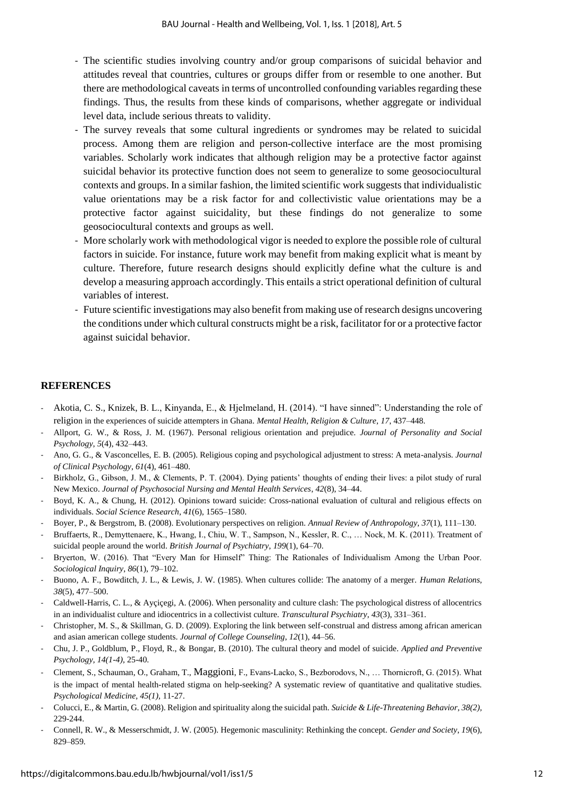- The scientific studies involving country and/or group comparisons of suicidal behavior and attitudes reveal that countries, cultures or groups differ from or resemble to one another. But there are methodological caveats in terms of uncontrolled confounding variables regarding these findings. Thus, the results from these kinds of comparisons, whether aggregate or individual level data, include serious threats to validity.
- The survey reveals that some cultural ingredients or syndromes may be related to suicidal process. Among them are religion and person-collective interface are the most promising variables. Scholarly work indicates that although religion may be a protective factor against suicidal behavior its protective function does not seem to generalize to some geosociocultural contexts and groups. In a similar fashion, the limited scientific work suggests that individualistic value orientations may be a risk factor for and collectivistic value orientations may be a protective factor against suicidality, but these findings do not generalize to some geosociocultural contexts and groups as well.
- More scholarly work with methodological vigor is needed to explore the possible role of cultural factors in suicide. For instance, future work may benefit from making explicit what is meant by culture. Therefore, future research designs should explicitly define what the culture is and develop a measuring approach accordingly. This entails a strict operational definition of cultural variables of interest.
- Future scientific investigations may also benefit from making use of research designs uncovering the conditions under which cultural constructs might be a risk, facilitator for or a protective factor against suicidal behavior.

#### **REFERENCES**

- Akotia, C. S., Knizek, B. L., Kinyanda, E., & Hjelmeland, H. (2014). "I have sinned": Understanding the role of religion in the experiences of suicide attempters in Ghana. *Mental Health, Religion & Culture*, *17*, 437–448.
- Allport, G. W., & Ross, J. M. (1967). Personal religious orientation and prejudice. *Journal of Personality and Social Psychology*, *5*(4), 432–443.
- Ano, G. G., & Vasconcelles, E. B. (2005). Religious coping and psychological adjustment to stress: A meta-analysis. *Journal of Clinical Psychology*, *61*(4), 461–480.
- Birkholz, G., Gibson, J. M., & Clements, P. T. (2004). Dying patients' thoughts of ending their lives: a pilot study of rural New Mexico. *Journal of Psychosocial Nursing and Mental Health Services*, *42*(8), 34–44.
- Boyd, K. A., & Chung, H. (2012). Opinions toward suicide: Cross-national evaluation of cultural and religious effects on individuals. *Social Science Research*, *41*(6), 1565–1580.
- Boyer, P., & Bergstrom, B. (2008). Evolutionary perspectives on religion. *Annual Review of Anthropology*, *37*(1), 111–130.
- Bruffaerts, R., Demyttenaere, K., Hwang, I., Chiu, W. T., Sampson, N., Kessler, R. C., … Nock, M. K. (2011). Treatment of suicidal people around the world. *British Journal of Psychiatry*, *199*(1), 64–70.
- Bryerton, W. (2016). That "Every Man for Himself" Thing: The Rationales of Individualism Among the Urban Poor. *Sociological Inquiry*, *86*(1), 79–102.
- Buono, A. F., Bowditch, J. L., & Lewis, J. W. (1985). When cultures collide: The anatomy of a merger. *Human Relations*, *38*(5), 477–500.
- Caldwell-Harris, C. L., & Ayçiçegi, A. (2006). When personality and culture clash: The psychological distress of allocentrics in an individualist culture and idiocentrics in a collectivist culture. *Transcultural Psychiatry*, *43*(3), 331–361.
- Christopher, M. S., & Skillman, G. D. (2009). Exploring the link between self-construal and distress among african american and asian american college students. *Journal of College Counseling*, *12*(1), 44–56.
- Chu, J. P., Goldblum, P., Floyd, R., & Bongar, B. (2010). The cultural theory and model of suicide. *Applied and Preventive Psychology, 14(1-4),* 25-40.
- Clement, S., Schauman, O., Graham, T., Maggioni, F., Evans-Lacko, S., Bezborodovs, N., … Thornicroft, G. (2015). What is the impact of mental health-related stigma on help-seeking? A systematic review of quantitative and qualitative studies. *Psychological Medicine, 45(1),* 11-27.
- Colucci, E., & Martin, G. (2008). Religion and spirituality along the suicidal path. *Suicide & Life-Threatening Behavior*, *38(2),*  229-244.
- Connell, R. W., & Messerschmidt, J. W. (2005). Hegemonic masculinity: Rethinking the concept. *Gender and Society*, *19*(6), 829–859.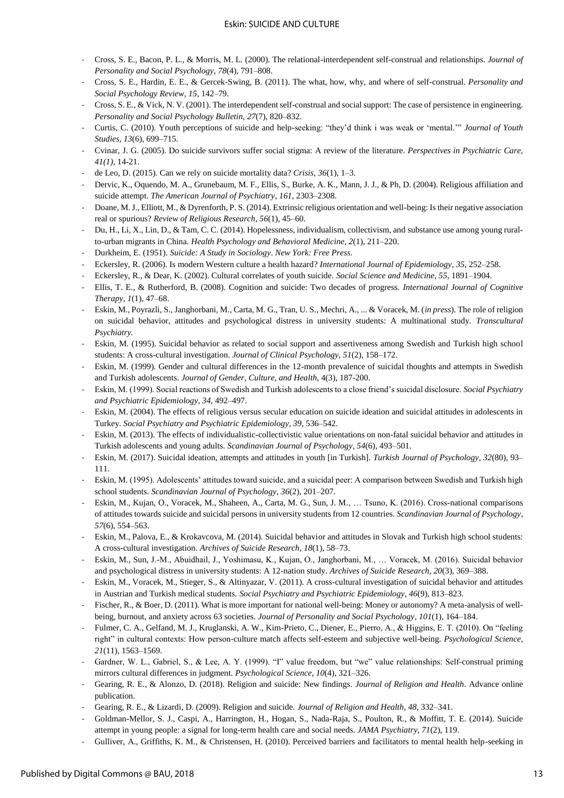- Cross, S. E., Bacon, P. L., & Morris, M. L. (2000). The relational-interdependent self-construal and relationships. *Journal of Personality and Social Psychology*, *78*(4), 791–808.
- Cross, S. E., Hardin, E. E., & Gercek-Swing, B. (2011). The what, how, why, and where of self-construal. *Personality and Social Psychology Review*, *15*, 142–79.
- Cross, S. E., & Vick, N. V. (2001). The interdependent self-construal and social support: The case of persistence in engineering. *Personality and Social Psychology Bulletin*, *27*(7), 820–832.
- Curtis, C. (2010). Youth perceptions of suicide and help-seeking: "they'd think i was weak or 'mental.'" *Journal of Youth Studies*, *13*(6), 699–715.
- Cvinar, J. G. (2005). Do suicide survivors suffer social stigma: A review of the literature. *Perspectives in Psychiatric Care, 41(1),* 14-21.
- de Leo, D. (2015). Can we rely on suicide mortality data? *Crisis*, *36*(1), 1–3.
- Dervic, K., Oquendo, M. A., Grunebaum, M. F., Ellis, S., Burke, A. K., Mann, J. J., & Ph, D. (2004). Religious affiliation and suicide attempt. *The American Journal of Psychiatry*, *161*, 2303–2308.
- Doane, M. J., Elliott, M., & Dyrenforth, P. S. (2014). Extrinsic religious orientation and well-being: Is their negative association real or spurious? *Review of Religious Research*, *56*(1), 45–60.
- Du, H., Li, X., Lin, D., & Tam, C. C. (2014). Hopelessness, individualism, collectivism, and substance use among young ruralto-urban migrants in China. *Health Psychology and Behavioral Medicine*, *2*(1), 211–220.
- Durkheim, E. (1951). *Suicide: A Study in Sociology*. *New York: Free Press*.
- Eckersley, R. (2006). Is modern Western culture a health hazard? *International Journal of Epidemiology*, *35*, 252–258.
- Eckersley, R., & Dear, K. (2002). Cultural correlates of youth suicide. *Social Science and Medicine*, *55*, 1891–1904.
- Ellis, T. E., & Rutherford, B. (2008). Cognition and suicide: Two decades of progress. *International Journal of Cognitive Therapy*, *1*(1), 47–68.
- Eskin, M., Poyrazli, S., Janghorbani, M., Carta, M. G., Tran, U. S., Mechri, A., ... & Voracek, M. (*in press*). The role of religion on suicidal behavior, attitudes and psychological distress in university students: A multinational study. *Transcultural Psychiatry.*
- Eskin, M. (1995). Suicidal behavior as related to social support and assertiveness among Swedish and Turkish high school students: A cross-cultural investigation. *Journal of Clinical Psychology*, *51*(2), 158–172.
- Eskin, M. (1999). Gender and cultural differences in the 12-month prevalence of suicidal thoughts and attempts in Swedish and Turkish adolescents. *Journal of Gender, Culture, and Health*, 4(3), 187-200.
- Eskin, M. (1999). Social reactions of Swedish and Turkish adolescents to a close friend's suicidal disclosure. *Social Psychiatry and Psychiatric Epidemiology*, *34*, 492–497.
- Eskin, M. (2004). The effects of religious versus secular education on suicide ideation and suicidal attitudes in adolescents in Turkey. *Social Psychiatry and Psychiatric Epidemiology*, *39*, 536–542.
- Eskin, M. (2013). The effects of individualistic-collectivistic value orientations on non-fatal suicidal behavior and attitudes in Turkish adolescents and young adults. *Scandinavian Journal of Psychology*, *54*(6), 493–501.
- Eskin, M. (2017). Suicidal ideation, attempts and attitudes in youth [in Turkish]. *Turkish Journal of Psychology*, *32*(80), 93– 111.
- Eskin, M. (1995). Adolescents' attitudes toward suicide, and a suicidal peer: A comparison between Swedish and Turkish high school students. *Scandinavian Journal of Psychology*, *36*(2), 201–207.
- Eskin, M., Kujan, O., Voracek, M., Shaheen, A., Carta, M. G., Sun, J. M., … Tsuno, K. (2016). Cross-national comparisons of attitudes towards suicide and suicidal persons in university students from 12 countries. *Scandinavian Journal of Psychology*, *57*(6), 554–563.
- Eskin, M., Palova, E., & Krokavcova, M. (2014). Suicidal behavior and attitudes in Slovak and Turkish high school students: A cross-cultural investigation. *Archives of Suicide Research*, *18*(1), 58–73.
- Eskin, M., Sun, J.-M., Abuidhail, J., Yoshimasu, K., Kujan, O., Janghorbani, M., … Voracek, M. (2016). Suicidal behavior and psychological distress in university students: A 12-nation study. *Archives of Suicide Research*, *20*(3), 369–388.
- Eskin, M., Voracek, M., Stieger, S., & Altinyazar, V. (2011). A cross-cultural investigation of suicidal behavior and attitudes in Austrian and Turkish medical students. *Social Psychiatry and Psychiatric Epidemiology*, *46*(9), 813–823.
- Fischer, R., & Boer, D. (2011). What is more important for national well-being: Money or autonomy? A meta-analysis of wellbeing, burnout, and anxiety across 63 societies. *Journal of Personality and Social Psychology*, *101*(1), 164–184.
- Fulmer, C. A., Gelfand, M. J., Kruglanski, A. W., Kim-Prieto, C., Diener, E., Pierro, A., & Higgins, E. T. (2010). On "feeling right" in cultural contexts: How person-culture match affects self-esteem and subjective well-being. *Psychological Science*, *21*(11), 1563–1569.
- Gardner, W. L., Gabriel, S., & Lee, A. Y. (1999). "I" value freedom, but "we" value relationships: Self-construal priming mirrors cultural differences in judgment. *Psychological Science*, *10*(4), 321–326.
- Gearing, R. E., & Alonzo, D. (2018). Religion and suicide: New findings. *Journal of Religion and Health*. Advance online publication.
- Gearing, R. E., & Lizardi, D. (2009). Religion and suicide. *Journal of Religion and Health*, *48*, 332–341.
- Goldman-Mellor, S. J., Caspi, A., Harrington, H., Hogan, S., Nada-Raja, S., Poulton, R., & Moffitt, T. E. (2014). Suicide attempt in young people: a signal for long-term health care and social needs. *JAMA Psychiatry*, *71*(2), 119.
- Gulliver, A., Griffiths, K. M., & Christensen, H. (2010). Perceived barriers and facilitators to mental health help-seeking in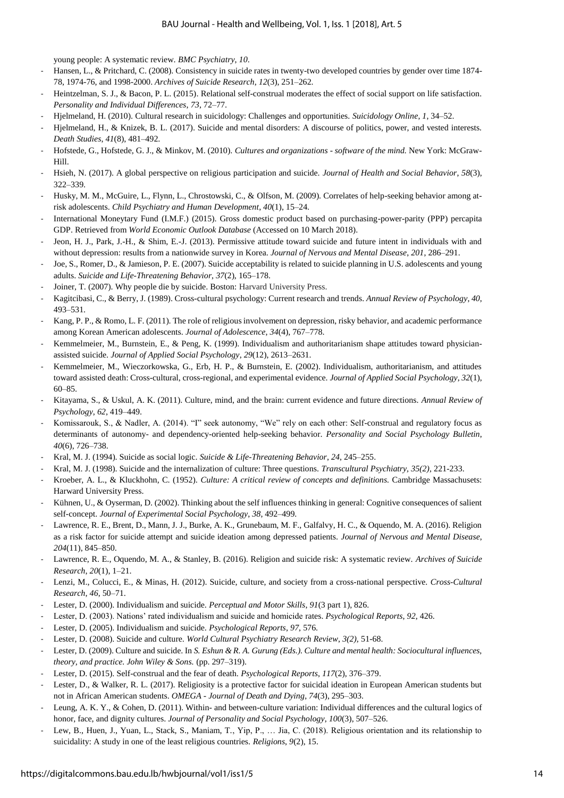young people: A systematic review. *BMC Psychiatry*, *10*.

- Hansen, L., & Pritchard, C. (2008). Consistency in suicide rates in twenty-two developed countries by gender over time 1874- 78, 1974-76, and 1998-2000. *Archives of Suicide Research*, *12*(3), 251–262.
- Heintzelman, S. J., & Bacon, P. L. (2015). Relational self-construal moderates the effect of social support on life satisfaction. *Personality and Individual Differences*, *73*, 72–77.
- Hjelmeland, H. (2010). Cultural research in suicidology: Challenges and opportunities. *Suicidology Online*, *1*, 34–52.
- Hjelmeland, H., & Knizek, B. L. (2017). Suicide and mental disorders: A discourse of politics, power, and vested interests. *Death Studies*, *41*(8), 481–492.
- Hofstede, G., Hofstede, G. J., & Minkov, M. (2010). *Cultures and organizations software of the mind.* New York: McGraw-Hill.
- Hsieh, N. (2017). A global perspective on religious participation and suicide. *Journal of Health and Social Behavior*, *58*(3), 322–339.
- Husky, M. M., McGuire, L., Flynn, L., Chrostowski, C., & Olfson, M. (2009). Correlates of help-seeking behavior among atrisk adolescents. *Child Psychiatry and Human Development*, *40*(1), 15–24.
- International Moneytary Fund (I.M.F.) (2015). Gross domestic product based on purchasing-power-parity (PPP) percapita GDP. Retrieved from *World Economic Outlook Database* (Accessed on 10 March 2018).
- Jeon, H. J., Park, J.-H., & Shim, E.-J. (2013). Permissive attitude toward suicide and future intent in individuals with and without depression: results from a nationwide survey in Korea. *Journal of Nervous and Mental Disease*, *201*, 286–291.
- Joe, S., Romer, D., & Jamieson, P. E. (2007). Suicide acceptability is related to suicide planning in U.S. adolescents and young adults. *Suicide and Life-Threatening Behavior*, *37*(2), 165–178.
- Joiner, T. (2007). Why people die by suicide. Boston: Harvard University Press.
- Kagitcibasi, C., & Berry, J. (1989). Cross-cultural psychology: Current research and trends. *Annual Review of Psychology*, *40*, 493–531.
- Kang, P. P., & Romo, L. F. (2011). The role of religious involvement on depression, risky behavior, and academic performance among Korean American adolescents. *Journal of Adolescence*, *34*(4), 767–778.
- Kemmelmeier, M., Burnstein, E., & Peng, K. (1999). Individualism and authoritarianism shape attitudes toward physicianassisted suicide. *Journal of Applied Social Psychology*, *29*(12), 2613–2631.
- Kemmelmeier, M., Wieczorkowska, G., Erb, H. P., & Burnstein, E. (2002). Individualism, authoritarianism, and attitudes toward assisted death: Cross-cultural, cross-regional, and experimental evidence. *Journal of Applied Social Psychology*, *32*(1), 60–85.
- Kitayama, S., & Uskul, A. K. (2011). Culture, mind, and the brain: current evidence and future directions. *Annual Review of Psychology*, *62*, 419–449.
- Komissarouk, S., & Nadler, A. (2014). "I" seek autonomy, "We" rely on each other: Self-construal and regulatory focus as determinants of autonomy- and dependency-oriented help-seeking behavior. *Personality and Social Psychology Bulletin*, *40*(6), 726–738.
- Kral, M. J. (1994). Suicide as social logic. *Suicide & Life-Threatening Behavior*, *24*, 245–255.
- Kral, M. J. (1998). Suicide and the internalization of culture: Three questions. *Transcultural Psychiatry, 35(2),* 221-233.
- Kroeber, A. L., & Kluckhohn, C. (1952). *Culture: A critical review of concepts and definitions.* Cambridge Massachusets: Harward University Press.
- Kühnen, U., & Oyserman, D. (2002). Thinking about the self influences thinking in general: Cognitive consequences of salient self-concept. *Journal of Experimental Social Psychology*, *38*, 492–499.
- Lawrence, R. E., Brent, D., Mann, J. J., Burke, A. K., Grunebaum, M. F., Galfalvy, H. C., & Oquendo, M. A. (2016). Religion as a risk factor for suicide attempt and suicide ideation among depressed patients. *Journal of Nervous and Mental Disease*, *204*(11), 845–850.
- Lawrence, R. E., Oquendo, M. A., & Stanley, B. (2016). Religion and suicide risk: A systematic review. *Archives of Suicide Research*, *20*(1), 1–21.
- Lenzi, M., Colucci, E., & Minas, H. (2012). Suicide, culture, and society from a cross-national perspective. *Cross-Cultural Research*, *46*, 50–71.
- Lester, D. (2000). Individualism and suicide. *Perceptual and Motor Skills*, *91*(3 part 1), 826.
- Lester, D. (2003). Nations' rated individualism and suicide and homicide rates. *Psychological Reports*, *92*, 426.
- Lester, D. (2005). Individualism and suicide. *Psychological Reports*, *97*, 576.
- Lester, D. (2008). Suicide and culture. *World Cultural Psychiatry Research Review*, *3(2),* 51-68.
- Lester, D. (2009). Culture and suicide. In *S. Eshun & R. A. Gurung (Eds.). Culture and mental health: Sociocultural influences, theory, and practice. John Wiley & Sons.* (pp. 297–319).
- Lester, D. (2015). Self-construal and the fear of death. *Psychological Reports*, *117*(2), 376–379.
- Lester, D., & Walker, R. L. (2017). Religiosity is a protective factor for suicidal ideation in European American students but not in African American students. *OMEGA - Journal of Death and Dying*, *74*(3), 295–303.
- Leung, A. K. Y., & Cohen, D. (2011). Within- and between-culture variation: Individual differences and the cultural logics of honor, face, and dignity cultures. *Journal of Personality and Social Psychology*, *100*(3), 507–526.
- Lew, B., Huen, J., Yuan, L., Stack, S., Maniam, T., Yip, P., ... Jia, C. (2018). Religious orientation and its relationship to suicidality: A study in one of the least religious countries. *Religions*, *9*(2), 15.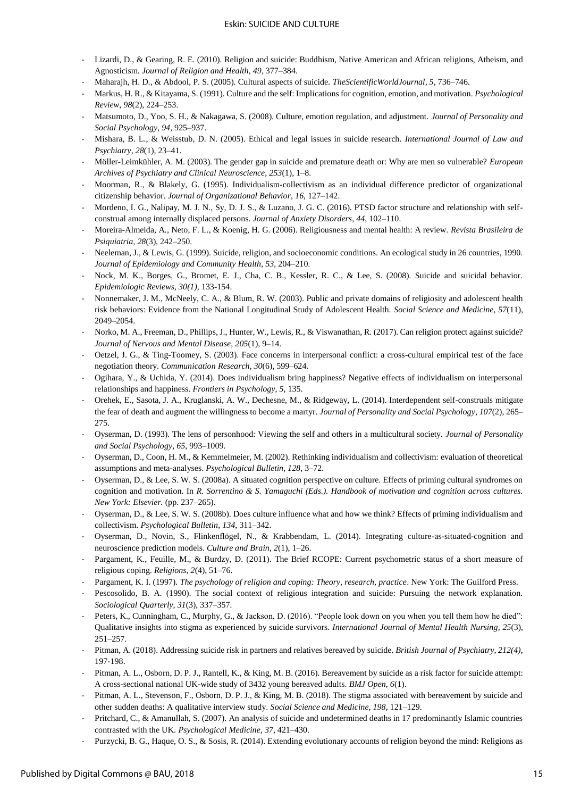#### Eskin: SUICIDE AND CULTURE

- Lizardi, D., & Gearing, R. E. (2010). Religion and suicide: Buddhism, Native American and African religions, Atheism, and Agnosticism. *Journal of Religion and Health*, *49*, 377–384.
- Maharajh, H. D., & Abdool, P. S. (2005). Cultural aspects of suicide. *TheScientificWorldJournal*, *5*, 736–746.
- Markus, H. R., & Kitayama, S. (1991). Culture and the self: Implications for cognition, emotion, and motivation. *Psychological Review*, *98*(2), 224–253.
- Matsumoto, D., Yoo, S. H., & Nakagawa, S. (2008). Culture, emotion regulation, and adjustment. *Journal of Personality and Social Psychology*, *94*, 925–937.
- Mishara, B. L., & Weisstub, D. N. (2005). Ethical and legal issues in suicide research. *International Journal of Law and Psychiatry*, *28*(1), 23–41.
- Möller-Leimkühler, A. M. (2003). The gender gap in suicide and premature death or: Why are men so vulnerable? *European Archives of Psychiatry and Clinical Neuroscience*, *253*(1), 1–8.
- Moorman, R., & Blakely, G. (1995). Individualism-collectivism as an individual difference predictor of organizational citizenship behavior. *Journal of Organizational Behavior*, *16*, 127–142.
- Mordeno, I. G., Nalipay, M. J. N., Sy, D. J. S., & Luzano, J. G. C. (2016). PTSD factor structure and relationship with selfconstrual among internally displaced persons. *Journal of Anxiety Disorders*, *44*, 102–110.
- Moreira-Almeida, A., Neto, F. L., & Koenig, H. G. (2006). Religiousness and mental health: A review. *Revista Brasileira de Psiquiatria*, *28*(3), 242–250.
- Neeleman, J., & Lewis, G. (1999). Suicide, religion, and socioeconomic conditions. An ecological study in 26 countries, 1990. *Journal of Epidemiology and Community Health*, *53*, 204–210.
- Nock, M. K., Borges, G., Bromet, E. J., Cha, C. B., Kessler, R. C., & Lee, S. (2008). Suicide and suicidal behavior. *Epidemiologic Reviews, 30(1),* 133-154.
- Nonnemaker, J. M., McNeely, C. A., & Blum, R. W. (2003). Public and private domains of religiosity and adolescent health risk behaviors: Evidence from the National Longitudinal Study of Adolescent Health. *Social Science and Medicine*, *57*(11), 2049–2054.
- Norko, M. A., Freeman, D., Phillips, J., Hunter, W., Lewis, R., & Viswanathan, R. (2017). Can religion protect against suicide? *Journal of Nervous and Mental Disease*, *205*(1), 9–14.
- Oetzel, J. G., & Ting-Toomey, S. (2003). Face concerns in interpersonal conflict: a cross-cultural empirical test of the face negotiation theory. *Communication Research*, *30*(6), 599–624.
- Ogihara, Y., & Uchida, Y. (2014). Does individualism bring happiness? Negative effects of individualism on interpersonal relationships and happiness. *Frontiers in Psychology*, *5*, 135.
- Orehek, E., Sasota, J. A., Kruglanski, A. W., Dechesne, M., & Ridgeway, L. (2014). Interdependent self-construals mitigate the fear of death and augment the willingness to become a martyr. *Journal of Personality and Social Psychology*, *107*(2), 265– 275.
- Oyserman, D. (1993). The lens of personhood: Viewing the self and others in a multicultural society. *Journal of Personality and Social Psychology*, *65*, 993–1009.
- Oyserman, D., Coon, H. M., & Kemmelmeier, M. (2002). Rethinking individualism and collectivism: evaluation of theoretical assumptions and meta-analyses. *Psychological Bulletin*, *128*, 3–72.
- Oyserman, D., & Lee, S. W. S. (2008a). A situated cognition perspective on culture. Effects of priming cultural syndromes on cognition and motivation. In *R. Sorrentino & S. Yamaguchi (Eds.). Handbook of motivation and cognition across cultures. New York: Elsevier.* (pp. 237–265).
- Oyserman, D., & Lee, S. W. S. (2008b). Does culture influence what and how we think? Effects of priming individualism and collectivism. *Psychological Bulletin*, *134*, 311–342.
- Oyserman, D., Novin, S., Flinkenflögel, N., & Krabbendam, L. (2014). Integrating culture-as-situated-cognition and neuroscience prediction models. *Culture and Brain*, *2*(1), 1–26.
- Pargament, K., Feuille, M., & Burdzy, D. (2011). The Brief RCOPE: Current psychometric status of a short measure of religious coping. *Religions*, *2*(4), 51–76.
- Pargament, K. I. (1997). *The psychology of religion and coping: Theory, research, practice*. New York: The Guilford Press.
- Pescosolido, B. A. (1990). The social context of religious integration and suicide: Pursuing the network explanation. *Sociological Quarterly*, *31*(3), 337–357.
- Peters, K., Cunningham, C., Murphy, G., & Jackson, D. (2016). "People look down on you when you tell them how he died": Qualitative insights into stigma as experienced by suicide survivors. *International Journal of Mental Health Nursing*, *25*(3), 251–257.
- Pitman, A. (2018). Addressing suicide risk in partners and relatives bereaved by suicide. *British Journal of Psychiatry, 212(4),*  197-198.
- Pitman, A. L., Osborn, D. P. J., Rantell, K., & King, M. B. (2016). Bereavement by suicide as a risk factor for suicide attempt: A cross-sectional national UK-wide study of 3432 young bereaved adults. *BMJ Open*, *6*(1).
- Pitman, A. L., Stevenson, F., Osborn, D. P. J., & King, M. B. (2018). The stigma associated with bereavement by suicide and other sudden deaths: A qualitative interview study. *Social Science and Medicine*, *198*, 121–129.
- Pritchard, C., & Amanullah, S. (2007). An analysis of suicide and undetermined deaths in 17 predominantly Islamic countries contrasted with the UK. *Psychological Medicine*, *37*, 421–430.
- Purzycki, B. G., Haque, O. S., & Sosis, R. (2014). Extending evolutionary accounts of religion beyond the mind: Religions as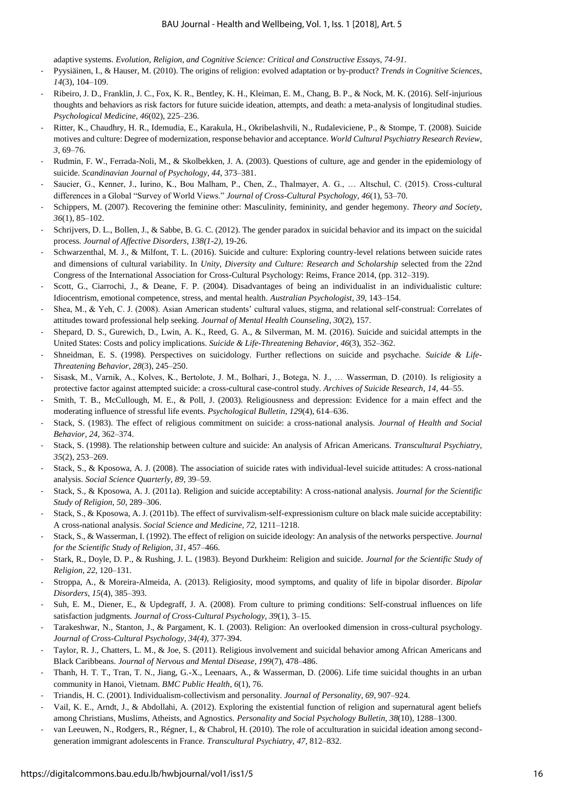adaptive systems. *Evolution, Religion, and Cognitive Science: Critical and Constructive Essays, 74-91.*

- Pyysiäinen, I., & Hauser, M. (2010). The origins of religion: evolved adaptation or by-product? *Trends in Cognitive Sciences*, *14*(3), 104–109.
- Ribeiro, J. D., Franklin, J. C., Fox, K. R., Bentley, K. H., Kleiman, E. M., Chang, B. P., & Nock, M. K. (2016). Self-injurious thoughts and behaviors as risk factors for future suicide ideation, attempts, and death: a meta-analysis of longitudinal studies. *Psychological Medicine*, *46*(02), 225–236.
- Ritter, K., Chaudhry, H. R., Idemudia, E., Karakula, H., Okribelashvili, N., Rudaleviciene, P., & Stompe, T. (2008). Suicide motives and culture: Degree of modernization, response behavior and acceptance. *World Cultural Psychiatry Research Review*, *3*, 69–76.
- Rudmin, F. W., Ferrada-Noli, M., & Skolbekken, J. A. (2003). Questions of culture, age and gender in the epidemiology of suicide. *Scandinavian Journal of Psychology*, *44*, 373–381.
- Saucier, G., Kenner, J., Iurino, K., Bou Malham, P., Chen, Z., Thalmayer, A. G., … Altschul, C. (2015). Cross-cultural differences in a Global "Survey of World Views." *Journal of Cross-Cultural Psychology*, *46*(1), 53–70.
- Schippers, M. (2007). Recovering the feminine other: Masculinity, femininity, and gender hegemony. *Theory and Society*, *36*(1), 85–102.
- Schrijvers, D. L., Bollen, J., & Sabbe, B. G. C. (2012). The gender paradox in suicidal behavior and its impact on the suicidal process. *Journal of Affective Disorders, 138(1-2),* 19-26.
- Schwarzenthal, M. J., & Milfont, T. L. (2016). Suicide and culture: Exploring country-level relations between suicide rates and dimensions of cultural variability. In *Unity, Diversity and Culture: Research and Scholarship* selected from the 22nd Congress of the International Association for Cross-Cultural Psychology: Reims, France 2014, (pp. 312–319).
- Scott, G., Ciarrochi, J., & Deane, F. P. (2004). Disadvantages of being an individualist in an individualistic culture: Idiocentrism, emotional competence, stress, and mental health. *Australian Psychologist*, *39*, 143–154.
- Shea, M., & Yeh, C. J. (2008). Asian American students' cultural values, stigma, and relational self-construal: Correlates of attitudes toward professional help seeking. *Journal of Mental Health Counseling*, *30*(2), 157.
- Shepard, D. S., Gurewich, D., Lwin, A. K., Reed, G. A., & Silverman, M. M. (2016). Suicide and suicidal attempts in the United States: Costs and policy implications. *Suicide & Life-Threatening Behavior*, *46*(3), 352–362.
- Shneidman, E. S. (1998). Perspectives on suicidology. Further reflections on suicide and psychache. *Suicide & Life-Threatening Behavior*, *28*(3), 245–250.
- Sisask, M., Varnik, A., Kolves, K., Bertolote, J. M., Bolhari, J., Botega, N. J., … Wasserman, D. (2010). Is religiosity a protective factor against attempted suicide: a cross-cultural case-control study. *Archives of Suicide Research*, *14*, 44–55.
- Smith, T. B., McCullough, M. E., & Poll, J. (2003). Religiousness and depression: Evidence for a main effect and the moderating influence of stressful life events. *Psychological Bulletin*, *129*(4), 614–636.
- Stack, S. (1983). The effect of religious commitment on suicide: a cross-national analysis. *Journal of Health and Social Behavior*, *24*, 362–374.
- Stack, S. (1998). The relationship between culture and suicide: An analysis of African Americans. *Transcultural Psychiatry*, *35*(2), 253–269.
- Stack, S., & Kposowa, A. J. (2008). The association of suicide rates with individual-level suicide attitudes: A cross-national analysis. *Social Science Quarterly*, *89*, 39–59.
- Stack, S., & Kposowa, A. J. (2011a). Religion and suicide acceptability: A cross-national analysis. *Journal for the Scientific Study of Religion*, *50*, 289–306.
- Stack, S., & Kposowa, A. J. (2011b). The effect of survivalism-self-expressionism culture on black male suicide acceptability: A cross-national analysis. *Social Science and Medicine*, *72*, 1211–1218.
- Stack, S., & Wasserman, I. (1992). The effect of religion on suicide ideology: An analysis of the networks perspective. *Journal for the Scientific Study of Religion*, *31*, 457–466.
- Stark, R., Doyle, D. P., & Rushing, J. L. (1983). Beyond Durkheim: Religion and suicide. *Journal for the Scientific Study of Religion*, *22*, 120–131.
- Stroppa, A., & Moreira-Almeida, A. (2013). Religiosity, mood symptoms, and quality of life in bipolar disorder. *Bipolar Disorders*, *15*(4), 385–393.
- Suh, E. M., Diener, E., & Updegraff, J. A. (2008). From culture to priming conditions: Self-construal influences on life satisfaction judgments. *Journal of Cross-Cultural Psychology*, *39*(1), 3–15.
- Tarakeshwar, N., Stanton, J., & Pargament, K. I. (2003). Religion: An overlooked dimension in cross-cultural psychology. *Journal of Cross-Cultural Psychology, 34(4),* 377-394.
- Taylor, R. J., Chatters, L. M., & Joe, S. (2011). Religious involvement and suicidal behavior among African Americans and Black Caribbeans. *Journal of Nervous and Mental Disease*, *199*(7), 478–486.
- Thanh, H. T. T., Tran, T. N., Jiang, G.-X., Leenaars, A., & Wasserman, D. (2006). Life time suicidal thoughts in an urban community in Hanoi, Vietnam. *BMC Public Health*, *6*(1), 76.
- Triandis, H. C. (2001). Individualism-collectivism and personality. *Journal of Personality*, *69*, 907–924.
- Vail, K. E., Arndt, J., & Abdollahi, A. (2012). Exploring the existential function of religion and supernatural agent beliefs among Christians, Muslims, Atheists, and Agnostics. *Personality and Social Psychology Bulletin*, *38*(10), 1288–1300.
- van Leeuwen, N., Rodgers, R., Régner, I., & Chabrol, H. (2010). The role of acculturation in suicidal ideation among secondgeneration immigrant adolescents in France. *Transcultural Psychiatry*, *47*, 812–832.